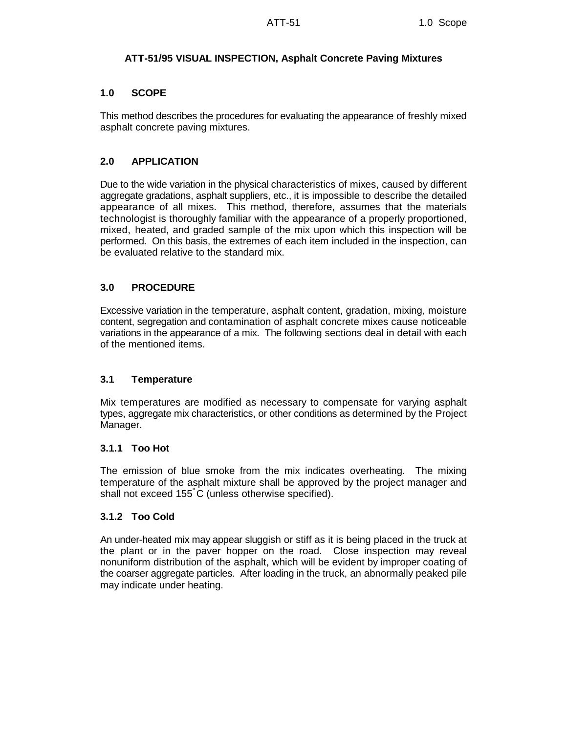# **ATT-51/95 VISUAL INSPECTION, Asphalt Concrete Paving Mixtures**

## **1.0 SCOPE**

This method describes the procedures for evaluating the appearance of freshly mixed asphalt concrete paving mixtures.

# **2.0 APPLICATION**

Due to the wide variation in the physical characteristics of mixes, caused by different aggregate gradations, asphalt suppliers, etc., it is impossible to describe the detailed appearance of all mixes. This method, therefore, assumes that the materials technologist is thoroughly familiar with the appearance of a properly proportioned, mixed, heated, and graded sample of the mix upon which this inspection will be performed. On this basis, the extremes of each item included in the inspection, can be evaluated relative to the standard mix.

## **3.0 PROCEDURE**

Excessive variation in the temperature, asphalt content, gradation, mixing, moisture content, segregation and contamination of asphalt concrete mixes cause noticeable variations in the appearance of a mix. The following sections deal in detail with each of the mentioned items.

### **3.1 Temperature**

Mix temperatures are modified as necessary to compensate for varying asphalt types, aggregate mix characteristics, or other conditions as determined by the Project Manager.

### **3.1.1 Too Hot**

The emission of blue smoke from the mix indicates overheating. The mixing temperature of the asphalt mixture shall be approved by the project manager and shall not exceed 155 C (unless otherwise specified).

### **3.1.2 Too Cold**

An under-heated mix may appear sluggish or stiff as it is being placed in the truck at the plant or in the paver hopper on the road. Close inspection may reveal nonuniform distribution of the asphalt, which will be evident by improper coating of the coarser aggregate particles. After loading in the truck, an abnormally peaked pile may indicate under heating.